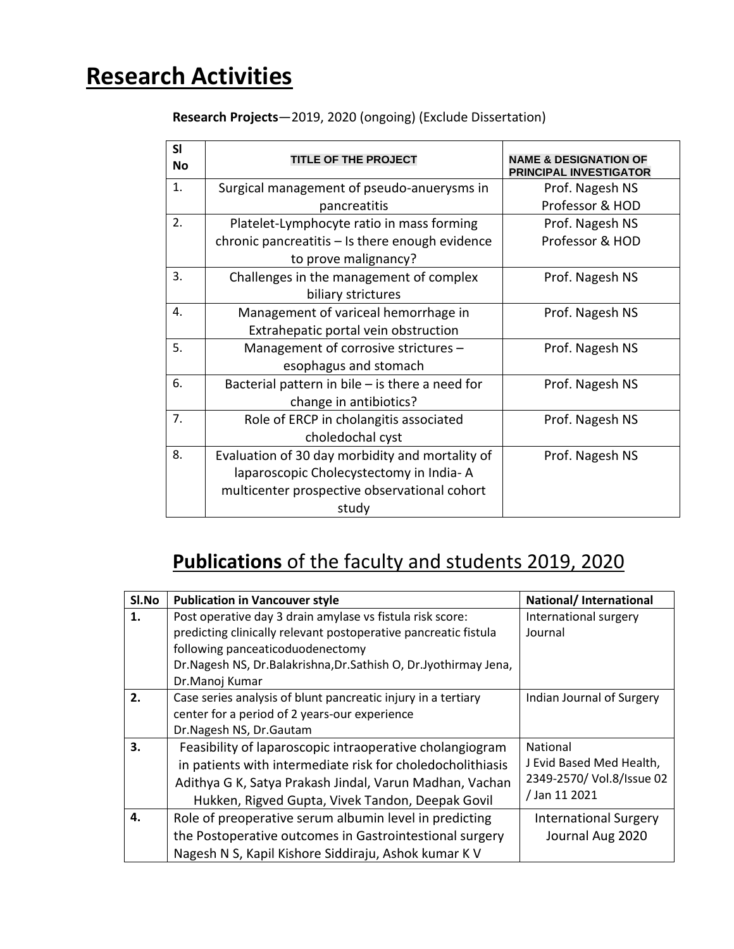# **Research Activities**

**Research Projects**—2019, 2020 (ongoing) (Exclude Dissertation)

| SI<br><b>No</b> | <b>TITLE OF THE PROJECT</b>                       | <b>NAME &amp; DESIGNATION OF</b><br><b>PRINCIPAL INVESTIGATOR</b> |
|-----------------|---------------------------------------------------|-------------------------------------------------------------------|
| 1.              | Surgical management of pseudo-anuerysms in        | Prof. Nagesh NS                                                   |
|                 | pancreatitis                                      | Professor & HOD                                                   |
| 2.              | Platelet-Lymphocyte ratio in mass forming         | Prof. Nagesh NS                                                   |
|                 | chronic pancreatitis - Is there enough evidence   | Professor & HOD                                                   |
|                 | to prove malignancy?                              |                                                                   |
| 3.              | Challenges in the management of complex           | Prof. Nagesh NS                                                   |
|                 | biliary strictures                                |                                                                   |
| 4.              | Management of variceal hemorrhage in              | Prof. Nagesh NS                                                   |
|                 | Extrahepatic portal vein obstruction              |                                                                   |
| 5.              | Management of corrosive strictures -              | Prof. Nagesh NS                                                   |
|                 | esophagus and stomach                             |                                                                   |
| 6.              | Bacterial pattern in bile $-$ is there a need for | Prof. Nagesh NS                                                   |
|                 | change in antibiotics?                            |                                                                   |
| 7.              | Role of ERCP in cholangitis associated            | Prof. Nagesh NS                                                   |
|                 | choledochal cyst                                  |                                                                   |
| 8.              | Evaluation of 30 day morbidity and mortality of   | Prof. Nagesh NS                                                   |
|                 | laparoscopic Cholecystectomy in India-A           |                                                                   |
|                 | multicenter prospective observational cohort      |                                                                   |
|                 | study                                             |                                                                   |

## **Publications** of the faculty and students 2019, 2020

| Sl.No | <b>Publication in Vancouver style</b>                           | National/ International      |
|-------|-----------------------------------------------------------------|------------------------------|
| 1.    | Post operative day 3 drain amylase vs fistula risk score:       | International surgery        |
|       | predicting clinically relevant postoperative pancreatic fistula | Journal                      |
|       | following panceaticoduodenectomy                                |                              |
|       | Dr.Nagesh NS, Dr.Balakrishna, Dr.Sathish O, Dr.Jyothirmay Jena, |                              |
|       | Dr.Manoj Kumar                                                  |                              |
| 2.    | Case series analysis of blunt pancreatic injury in a tertiary   | Indian Journal of Surgery    |
|       | center for a period of 2 years-our experience                   |                              |
|       | Dr.Nagesh NS, Dr.Gautam                                         |                              |
| 3.    | Feasibility of laparoscopic intraoperative cholangiogram        | <b>National</b>              |
|       | in patients with intermediate risk for choledocholithiasis      | J Evid Based Med Health,     |
|       | Adithya G K, Satya Prakash Jindal, Varun Madhan, Vachan         | 2349-2570/ Vol.8/Issue 02    |
|       | Hukken, Rigved Gupta, Vivek Tandon, Deepak Govil                | /Jan 11 2021                 |
| 4.    | Role of preoperative serum albumin level in predicting          | <b>International Surgery</b> |
|       | the Postoperative outcomes in Gastrointestional surgery         | Journal Aug 2020             |
|       | Nagesh N S, Kapil Kishore Siddiraju, Ashok kumar K V            |                              |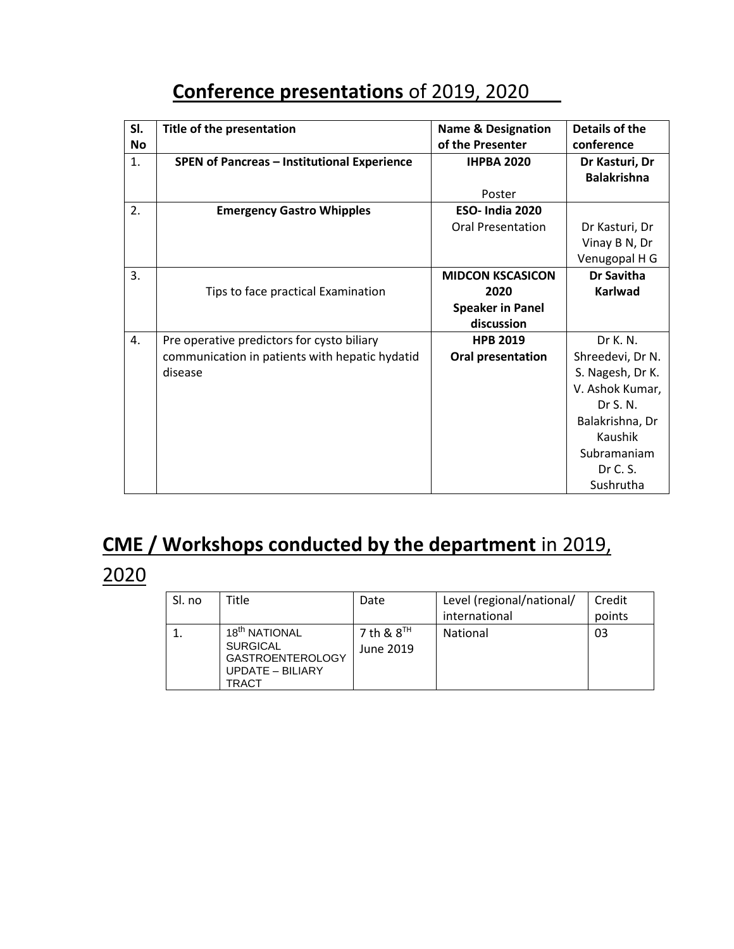## **Conference presentations** of 2019, 2020

| SI.<br><b>No</b> | Title of the presentation                          | <b>Name &amp; Designation</b><br>of the Presenter | Details of the<br>conference         |
|------------------|----------------------------------------------------|---------------------------------------------------|--------------------------------------|
| 1.               | <b>SPEN of Pancreas - Institutional Experience</b> | <b>IHPBA 2020</b>                                 | Dr Kasturi, Dr<br><b>Balakrishna</b> |
|                  |                                                    | Poster                                            |                                      |
| 2.               | <b>Emergency Gastro Whipples</b>                   | <b>ESO-India 2020</b>                             |                                      |
|                  |                                                    | <b>Oral Presentation</b>                          | Dr Kasturi, Dr                       |
|                  |                                                    |                                                   | Vinay B N, Dr                        |
|                  |                                                    |                                                   | Venugopal H G                        |
| 3.               |                                                    | <b>MIDCON KSCASICON</b>                           | Dr Savitha                           |
|                  | Tips to face practical Examination                 | 2020                                              | <b>Karlwad</b>                       |
|                  |                                                    | <b>Speaker in Panel</b>                           |                                      |
|                  |                                                    | discussion                                        |                                      |
| 4.               | Pre operative predictors for cysto biliary         | <b>HPB 2019</b>                                   | Dr K. N.                             |
|                  | communication in patients with hepatic hydatid     | Oral presentation                                 | Shreedevi, Dr N.                     |
|                  | disease                                            |                                                   | S. Nagesh, Dr K.                     |
|                  |                                                    |                                                   | V. Ashok Kumar,                      |
|                  |                                                    |                                                   | Dr S. N.                             |
|                  |                                                    |                                                   | Balakrishna, Dr                      |
|                  |                                                    |                                                   | Kaushik                              |
|                  |                                                    |                                                   | Subramaniam                          |
|                  |                                                    |                                                   | Dr C. S.                             |
|                  |                                                    |                                                   | Sushrutha                            |

## **CME / Workshops conducted by the department** in 2019,

#### 2020

| Sl. no | Title                                                                                                       | Date                      | Level (regional/national/ | Credit |
|--------|-------------------------------------------------------------------------------------------------------------|---------------------------|---------------------------|--------|
|        |                                                                                                             |                           | international             | points |
|        | 18 <sup>th</sup> NATIONAL<br><b>SURGICAL</b><br><b>GASTROENTEROLOGY</b><br><b>UPDATE - BILIARY</b><br>TRACT | 7 th & $8TH$<br>June 2019 | National                  | 03     |